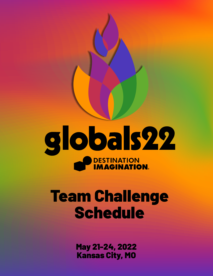

# Team Challenge Schedule

May 21-24, 2022 Kansas City, MO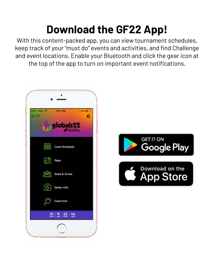## **Download the GF22 App!**

With this content-packed app, you can view tournament schedules, keep track of your "must do" events and activities, and find Challenge and event locations. Enable your Bluetooth and click the gear icon at the top of the app to turn on important event notifications.



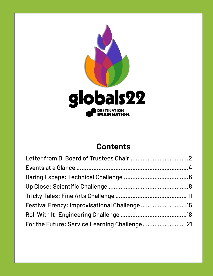

### **Contents**

| Festival Frenzy: Improvisational Challenge 15 |  |
|-----------------------------------------------|--|
|                                               |  |
| For the Future: Service Learning Challenge 21 |  |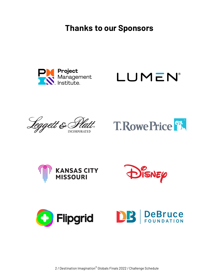**Thanks to our Sponsors**















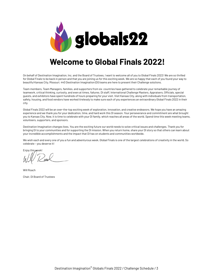

### **Welcome to Global Finals 2022!**

On behalf of Destination Imagination, Inc. and the Board of Trustees, I want to welcome all of you to Global Finals 2022! We are so thrilled for Global Finals to be back in person and that you are joining us for this exciting week. We are so happy that each of you found your way to beautiful Kansas City, Missouri. 440 Destination Imagination (DI) teams are here to present their Challenge solutions.

Team members, Team Managers, families, and supporters from six countries have gathered to celebrate your remarkable journey of teamwork, critical thinking, curiosity, and even at times, failures. DI staff, International Challenge Masters, Appraisers, Officials, special guests, and exhibitors have spent hundreds of hours preparing for your visit. Visit Kansas City, along with individuals from transportation, safety, housing, and food vendors have worked tirelessly to make sure each of you experiences an extraordinary Global Finals 2022 in their city.

Global Finals 2022 will be an over-the-top exciting week of exploration, innovation, and creative endeavors. We hope you have an amazing experience and we thank you for your dedication, time, and hard work this DI season. Your perseverance and commitment are what brought you to Kansas City. Now, it is time to celebrate with your DI family, which reaches all areas of the world. Spend time this week meeting teams, volunteers, supporters, and sponsors.

Destination Imagination changes lives. You are the exciting future our world needs to solve critical issues and challenges. Thank you for bringing DI to your communities and for supporting the DI mission. When you return home, share your DI story so that others can learn about your incredible accomplishments and the impact that DI has on students and communities worldwide.

We wish each and every one of you a fun and adventurous week. Global Finals is one of the largest celebrations of creativity in the world. So celebrate – you deserve it!

Enjoy this week!

Will Roach

Chair, DI Board of Trustees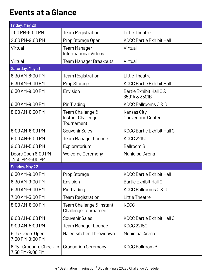### **Events at a Glance**

| Friday, May 20                              |                                                         |                                          |
|---------------------------------------------|---------------------------------------------------------|------------------------------------------|
| 1:00 PM-9:00 PM                             | <b>Team Registration</b>                                | <b>Little Theatre</b>                    |
| 2:00 PM-9:00 PM                             | Prop Storage Open                                       | <b>KCCC Bartle Exhibit Hall</b>          |
| Virtual                                     | <b>Team Manager</b><br><b>Informational Videos</b>      | Virtual                                  |
| Virtual                                     | <b>Team Manager Breakouts</b>                           | Virtual                                  |
| Saturday, May 21                            |                                                         |                                          |
| 6:30 AM-8:00 PM                             | <b>Team Registration</b>                                | <b>Little Theatre</b>                    |
| 6:30 AM-9:00 PM                             | Prop Storage                                            | <b>KCCC Bartle Exhibit Hall</b>          |
| 6:30 AM-9:00 PM                             | Envision                                                | Bartle Exhibit Hall C &<br>3501A & 3501B |
| 6:30 AM-9:00 PM                             | Pin Trading                                             | <b>KCCC Ballrooms C &amp; D</b>          |
| 8:00 AM-6:30 PM                             | Team Challenge &<br>Instant Challenge<br>Tournament     | Kansas City<br><b>Convention Center</b>  |
| 8:00 AM-6:00 PM                             | Souvenir Sales                                          | <b>KCCC Bartle Exhibit Hall C</b>        |
| 9:00 AM-5:00 PM                             | <b>Team Manager Lounge</b>                              | <b>KCCC 2215C</b>                        |
| 9:00 AM-5:00 PM                             | Exploratorium                                           | <b>Ballroom B</b>                        |
| Doors Open 6:00 PM<br>7:30 PM-9:00 PM       | <b>Welcome Ceremony</b>                                 | <b>Municipal Arena</b>                   |
| Sunday, May 22                              |                                                         |                                          |
| 6:30 AM-9:00 PM                             | Prop Storage                                            | <b>KCCC Bartle Exhibit Hall</b>          |
| 6:30 AM-9:00 PM                             | Envision                                                | <b>Bartle Exhibit Hall C</b>             |
| 6:30 AM-9:00 PM                             | Pin Trading                                             | <b>KCCC Ballrooms C &amp; D</b>          |
| 7:00 AM-5:00 PM                             | <b>Team Registration</b>                                | <b>Little Theatre</b>                    |
| 8:00 AM-6:30 PM                             | Team Challenge & Instant<br><b>Challenge Tournament</b> | <b>KCCC</b>                              |
| 8:00 AM-6:00 PM                             | <b>Souvenir Sales</b>                                   | <b>KCCC Bartle Exhibit Hall C</b>        |
| 9:00 AM-5:00 PM                             | <b>Team Manager Lounge</b>                              | <b>KCCC 2215C</b>                        |
| 6:15-Doors Open<br>7:00 PM-9:00 PM          | Hale's Kitchen Throwdown                                | <b>Municipal Arena</b>                   |
| 6:15 - Graduate Check-in<br>7:30 PM-9:00 PM | <b>Graduation Ceremony</b>                              | <b>KCCC Ballroom B</b>                   |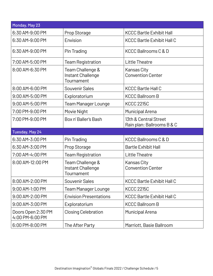| Monday, May 23                        |                                                     |                                                     |
|---------------------------------------|-----------------------------------------------------|-----------------------------------------------------|
| 6:30 AM-9:00 PM                       | Prop Storage                                        | <b>KCCC Bartle Exhibit Hall</b>                     |
| 6:30 AM-9:00 PM                       | Envision                                            | <b>KCCC Bartle Exhibit Hall C</b>                   |
| 6:30 AM-9:00 PM                       | Pin Trading                                         | <b>KCCC Ballrooms C &amp; D</b>                     |
| 7:00 AM-5:00 PM                       | <b>Team Registration</b>                            | <b>Little Theatre</b>                               |
| 8:00 AM-6:30 PM                       | Team Challenge &<br>Instant Challenge<br>Tournament | Kansas City<br><b>Convention Center</b>             |
| 8:00 AM-6:00 PM                       | <b>Souvenir Sales</b>                               | <b>KCCC Bartle Hall C</b>                           |
| 9:00 AM-5:00 PM                       | Exploratorium                                       | <b>KCCC Ballroom B</b>                              |
| 9:00 AM-5:00 PM                       | <b>Team Manager Lounge</b>                          | <b>KCCC 2215C</b>                                   |
| 7:00 PM-9:00 PM                       | Movie Night                                         | <b>Municipal Arena</b>                              |
| 7:00 PM-9:00 PM                       | Box n' Baller's Bash                                | 13th & Central Street<br>Rain plan: Ballrooms B & C |
| Tuesday, May 24                       |                                                     |                                                     |
| 6:30 AM-3:00 PM                       | Pin Trading                                         | <b>KCCC Ballrooms C &amp; D</b>                     |
| 6:30 AM-3:00 PM                       | Prop Storage                                        | <b>Bartle Exhibit Hall</b>                          |
| 7:00 AM-4:00 PM                       | <b>Team Registration</b>                            | <b>Little Theatre</b>                               |
| 8:00 AM-12:00 PM                      | Team Challenge &<br>Instant Challenge<br>Tournament | Kansas City<br><b>Convention Center</b>             |
| 8:00 AM-2:00 PM                       | Souvenir Sales                                      | <b>KCCC Bartle Exhibit Hall C</b>                   |
| 9:00 AM-1:00 PM                       | <b>Team Manager Lounge</b>                          | <b>KCCC 2215C</b>                                   |
| 9:00 AM-2:00 PM                       | <b>Envision Presentations</b>                       | <b>KCCC Bartle Exhibit Hall C</b>                   |
| 9:00 AM-3:00 PM                       | Exploratorium                                       | <b>KCCC Ballroom B</b>                              |
| Doors Open 2:30 PM<br>4:00 PM-6:00 PM | <b>Closing Celebration</b>                          | <b>Municipal Arena</b>                              |
| 6:00 PM-8:00 PM                       | The After Party                                     | Marriott, Basie Ballroom                            |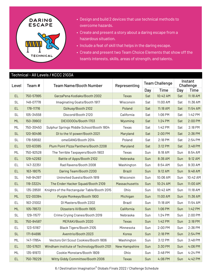

- Design and build 2 devices that use technical methods to overcome hazards.
- Create and present a story about a daring escape from a hazardous situation.
- Include a feat of skill that helps in the daring escape.
- Create and present two Team Choice Elements that show off the team's interests, skills, areas of strength, and talents.

|           |           | Technical - All Levels / KCCC 2103A         |                      |     |                       |                      |             |
|-----------|-----------|---------------------------------------------|----------------------|-----|-----------------------|----------------------|-------------|
| Level     | Team #    | <b>Team Name/Booth Number</b>               | Representing         |     | <b>Team Challenge</b> | Instant<br>Challenge |             |
|           |           |                                             |                      | Day | Time                  | Day                  | <b>Time</b> |
| EL.       | 750-57995 | GarzaPena Kodiaks/Booth 2002                | <b>Texas</b>         | Sat | 10:42 AM              | Sat                  | 11:18 AM    |
| <b>SL</b> | 148-07778 | Imaginating Goats/Booth 1917                | Wisconsin            | Sat | 11:00 AM              | Sat                  | 11:36 AM    |
| <b>EL</b> | 178-11716 | Dzikusy/Booth 2102                          | Poland               | Sat | 11:18 AM              | Sat                  | 11:54 AM    |
| <b>SL</b> | 105-34558 | Discord/Booth 2120                          | California           | Sat | 1:06 PM               | Sat                  | 1:42 PM     |
| ML        | 150-39902 | DIEI0000s/Booth 1703                        | Wyoming              | Sat | 1:24 PM               | Sat                  | 2:00 PM     |
| ML        | 750-30450 | Sulphur Springs Middle School/Booth 1804    | Texas                | Sat | 1:42 PM               | Sat                  | 2:18 PM     |
| <b>SL</b> | 120-90496 | DI to the VI power/Booth 2021               | Maryland             | Sat | 2:00 PM               | Sat                  | 2:36 PM     |
| <b>SL</b> | 178-59592 | omeGANG/Booth 2014                          | Poland               | Sat | 2:18 PM               | Sat                  | 2:54 PM     |
| <b>EL</b> | 120-63385 | Plum Point Pizza Panthers/Booth 2208        | Maryland             | Sat | 3:12 PM               | Sat                  | 3:48 PM     |
| ML        | 750-92528 | The Terrible Taxpayers/Booth 1903           | Texas                | Sun | 8:18 AM               | Sun                  | 8:54 AM     |
| <b>EL</b> | 129-42282 | Battle of Apps/Booth 2102                   | Nebraska             | Sun | 8:36 AM               | Sun                  | 9:12 AM     |
| EL        | 147-32351 | Rad Ravens/Booth 2008                       | Washington           | Sun | 8:54 AM               | Sun                  | 9:30 AM     |
| <b>EL</b> | 163-18075 | Daring Team/Booth 2200                      | <b>Brazil</b>        | Sun | 9:12 AM               | Sun                  | 9:48 AM     |
| <b>SL</b> | 148-94397 | Uninvited Guests/Booth 1919                 | Wisconsin            | Sun | 10:06 AM              | Sun                  | 10:42 AM    |
| <b>EL</b> | 119-33224 | The Ender Hacker Squad/Booth 2109           | Massachusetts        | Sun | 10:24 AM              | Sun                  | 11:00 AM    |
| <b>SL</b> | 135-28591 | Knights of the Rectangular Table/Booth 2015 | Ohio                 | Sun | 10:42 AM              | Sun                  | 11:18 AM    |
| ML        | 122-00384 | Purple Monkeys/Booth 1900                   | Michigan             | Sun | 11:00 AM              | Sun                  | 11:36 AM    |
| EL        | 163-21002 | DI Masters/Booth 2202                       | Brazil               | Sun | 11:18 AM              | Sun                  | 11:54 AM    |
| ML        | 105-78572 | <b>Dizasters III/Booth 1905</b>             | California           | Sun | 1:06 PM               | Sun                  | 1:42 PM     |
| <b>SL</b> | 129-11577 | Crime Crying Cranes/Booth 2019              | Nebraska             | Sun | 1:24 PM               | Sun                  | 2:00 PM     |
| <b>SL</b> | 750-84587 | MERAKI/Booth 2020                           | <b>Texas</b>         | Sun | 1:42 PM               | Sun                  | 2:18 PM     |
| EL        | 123-51167 | Black Tigers/Booth 2105                     | Minnesota            | Sun | 2:00 PM               | Sun                  | 2:36 PM     |
| <b>SL</b> | 171-64696 | Aventrio/Booth 2023                         | Korea                | Sun | 2:18 PM               | Sun                  | 2:54 PM     |
| ML        | 147-17854 | Vectors Girl Scout Cookies/Booth 1806       | Washington           | Sun | 3:12 PM               | Sun                  | 3:48 PM     |
| EL.       | 130-57631 | Windham institute of Technology/Booth 2101  | <b>New Hampshire</b> | Sun | 3:30 PM               | Sun                  | 4:06 PM     |
| ML        | 135-91973 | Cookie Monstars/Booth 1809                  | Ohio                 | Sun | 3:48 PM               | Sun                  | 4:24 PM     |
| <b>EL</b> | 750-78229 | Witty Giddy Committee/Booth 2006            | <b>Texas</b>         | Sun | 4:06 PM               | Sun                  | 4:42 PM     |

6 / Destination Imagination® Globals Finals 2022 / Challenge Schedule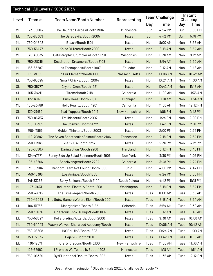|           |           | Technical - All Levels / KCCC 2103A      |                      |             |                       |             |                      |
|-----------|-----------|------------------------------------------|----------------------|-------------|-----------------------|-------------|----------------------|
| Level     | Team #    | <b>Team Name/Booth Number</b>            | Representing         |             | <b>Team Challenge</b> |             | Instant<br>Challenge |
|           |           |                                          |                      | Day         | <b>Time</b>           | Day         | <b>Time</b>          |
| ML        | 123-90883 | The Haunted Heroes/Booth 1904            | Minnesota            | Sun         | 4:24 PM               | Sun         | 5:00 PM              |
| <b>EL</b> | 750-88309 | The Daredevils/Booth 2005                | <b>Texas</b>         | Sun         | 4:42 PM               | Sun         | 5:18 PM              |
| ML        | 750-04842 | Bbash/Booth 1801                         | Texas                | Mon         | 8:00 AM               | Mon         | 8:36 AM              |
| <b>EL</b> | 750-56477 | Kolda DI Team/Booth 2009                 | <b>Texas</b>         | Mon         | 8:18 AM               | Mon         | 8:54 AM              |
| ML        | 148-48035 | Catastrophic Crumblers/Booth 1701        | Wisconsin            | Mon         | 8:36 AM               | Mon         | 9:12 AM              |
| <b>EL</b> | 750-28215 | <b>Destination Dreamers / Booth 2108</b> | <b>Texas</b>         | Mon         | 8:54 AM               | Mon         | 9:30 AM              |
| ML        | 166-65287 | Los Tecnopapas/Booth 1907                | Ecuador              | Mon         | 9:12 AM               | Mon         | 9:48 AM              |
| <b>ML</b> | 119-79765 | In Our Element/Booth 1909                | <b>Massachusetts</b> | Mon         | 10:06 AM              | Mon         | 10:42 AM             |
| EL        | 750-93395 | Smart Chicks/Booth 2004                  | Texas                | Mon         | 10:24 AM              | Mon         | 11:00 AM             |
| <b>SL</b> | 750-35777 | Crystal Crew/Booth 1921                  | <b>Texas</b>         | Mon         | 10:42 AM              | Mon         | 11:18 AM             |
| <b>SL</b> | 105-34211 | Titans/Booth 2118                        | California           | Mon         | 11:00 AM              | Mon         | 11:36 AM             |
| <b>EL</b> | 122-69170 | Busy Bees/Booth 2107                     | Michigan             | Mon         | 11:18 AM              | Mon         | 11:54 AM             |
| ML        | 105-23488 | Hello Reality/Booth 1901                 | California           | Mon         | 11:36 AM              | Mon         | 12:12 PM             |
| <b>SL</b> | 130-29152 | Mad Muppets/Booth 2017                   | <b>New Hampshire</b> | Mon         | 1:06 PM               | Mon         | 1:42 PM              |
| EL        | 750-86753 | Trailblazers/Booth 2007                  | Texas                | Mon         | 1:24 PM               | Mon         | 2:00 PM              |
| <b>SL</b> | 750-05302 | The Cosmix /Booth 2022                   | <b>Texas</b>         | Mon         | 1:42 PM               | Mon         | 2:18 PM              |
| EL        | 750-41859 | Golden Thinkers/Booth 2003               | Texas                | Mon         | 2:00 PM               | Mon         | 2:36 PM              |
| <b>EL</b> | 142-70882 | The Seven Spectacular Saints/Booth 2106  | Tennessee            | Mon         | 2:18 PM               | Mon         | 2:54 PM              |
| <b>SL</b> | 750-61963 | JAZVICs/Booth 1923                       | Texas                | Mon         | 2:36 PM               | Mon         | 3:12 PM              |
| <b>EL</b> | 120-66863 | Daring Divas/Booth 2206                  | Maryland             | Mon         | 3:12 PM               | Mon         | 3:48 PM              |
| ML        | 134-47371 | Sunny Side Up Salad Spinners/Booth 1906  | New York             | Mon         | 3:30 PM               | Mon         | 4:06 PM              |
| EL        | 105-48666 | Snackvengers/Booth 2204                  | California           | Mon         | 3:48 PM               | Mon         | 4:24 PM              |
| ML        | 135-06984 | Random Team Not Found/Booth 1908         | Ohio                 | Mon         | 4:06 PM               | Mon         | 4:42 PM              |
| ML        | 750-15386 | Los Amigos/Booth 1805                    | <b>Texas</b>         | Mon         | 4:24 PM               | Mon         | 5:00 PM              |
| EL        | 141-83265 | Spiky Balloons/Booth 2104                | South Dakota         | Mon         | 4:42 PM               | Mon         | 5:18 PM              |
| ML        | 147-41631 | Industrial Einstein/Booth 1808           | Washington           | Mon         | 5:18 PM               | Mon         | 5:54 PM              |
| <b>SL</b> | 750-43715 | The Timekeepers/Booth 2016               | Texas                | Tues        | 8:00 AM               | Tues        | 8:36 AM              |
| EL        | 750-49022 | The Gutsy GamersWaters Elem/Booth 2001   | <b>Texas</b>         | <b>Tues</b> | 8:18 AM               | <b>Tues</b> | 8:54 AM              |
| <b>SL</b> | 106-51756 | Disorganized/Booth 2122                  | Colorado             | Tues        | 8:54 AM               | Tues        | 9:30 AM              |
| ML        | 750-91674 | SupersonicKnox Jr High/Booth 1807        | <b>Texas</b>         | Tues        | 9:12 AM               | <b>Tues</b> | 9:48 AM              |
| EL        | 750-58397 | Rollerblading Wizards/Booth 2000         | Texas                | Tues        | 9:30 AM               | Tues        | 10:06 AM             |
| ML        | 750-54443 | Wacky Wolves Sherwood Academy/Booth      | <b>Texas</b>         | Tues        | 10:06 AM              | <b>Tues</b> | 10:42 AM             |
| ML        | 750-98608 | INGENIUMS/Booth 1803                     | Texas                | Tues        | 10:24 AM              | Tues        | 11:00 AM             |
| <b>SL</b> | 750-72673 | Deja Vu/Booth 2018                       | Texas                | Tues        | 10:42 AM              | <b>Tues</b> | 11:18 AM             |
| EL        | 130-12571 | Crafty Dragons/Booth 2100                | New Hampshire        | Tues        | 11:00 AM              | Tues        | 11:36 AM             |
| ML        | 123-55962 | I Promise We Tested It/Booth 1902        | Minnesota            | Tues        | 11:18 AM              | <b>Tues</b> | 11:54 AM             |
| ML        | 750-06389 | DysFUNctional Donuts/Booth 1802          | Texas                | Tues        | 11:36 AM              | Tues        | 12:12 PM             |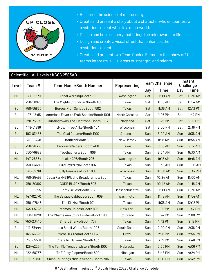

- Research the science of microscopy.
- Create and present a story about a character who encounters a mysterious object while in a microworld.
- Design and build scenery that brings the microworld to life.
- Design and create a visual effect that enhances the mysterious object.
- Create and present two Team Choice Elements that show off the team's interests, skills, areas of strength, and talents.

|           |           | Scientific - All Levels / KCCC 2503AB     |                 |                       |          |                      |          |
|-----------|-----------|-------------------------------------------|-----------------|-----------------------|----------|----------------------|----------|
| Level     | Team#     | <b>Team Name/Booth Number</b>             | Representing    | <b>Team Challenge</b> |          | Instant<br>Challenge |          |
|           |           |                                           |                 | Day                   | Time     | Day                  | Time     |
| ML        | 147-15579 | Global Warning/Booth 708                  | Washington      | Sat                   | 11:00 AM | Sat                  | 11:36 AM |
| <b>SL</b> | 750-56926 | The Mighty Chondrias/Booth 405            | Texas           | Sat                   | 11:18 AM | Sat                  | 11:54 AM |
| <b>SL</b> | 750-55860 | Burges High School/Booth 502              | <b>Texas</b>    | Sat                   | 11:36 AM | Sat                  | 12:12 PM |
| EL        | 127-42415 | Americas Favorite Fruit Snacks/Booth 1001 | North Carolina  | Sat                   | 1:06 PM  | Sat                  | 1:42 PM  |
| <b>EL</b> | 120-75565 | Huntingtowns The Electrons/Booth 1007     | Maryland        | Sat                   | 1:42 PM  | Sat                  | 2:18 PM  |
| <b>SL</b> | 148-31896 | sNOw Three Alike/Booth 404                | Wisconsin       | Sat                   | 2:00 PM  | Sat                  | 2:36 PM  |
| <b>EL</b> | 103-83485 | The Goal Getters/Booth 1100               | <b>Arkansas</b> | Sun                   | 8:00 AM  | Sun                  | 8:36 AM  |
| <b>SL</b> | 131-09448 | Untitled/Booth 606                        | New Jersey      | Sun                   | 8:18 AM  | Sun                  | 8:54 AM  |
| UL        | 750-28355 | ProcrastiRaiders/Booth 406                | <b>Texas</b>    | Sun                   | 8:36 AM  | Sun                  | 9:12 AM  |
| EL        | 750-79988 | Toothachers/Booth 906                     | Texas           | Sun                   | 8:54 AM  | Sun                  | 9:30 AM  |
| ML        | 147-28854 | in all KAPS/Booth 706                     | Washington      | Sun                   | 9:12 AM  | Sun                  | 9:48 AM  |
| EL        | 750-64485 | FireBoyzzz 20/Booth 902                   | Texas           | Sun                   | 9:30 AM  | Sun                  | 10:06 AM |
| <b>EL</b> | 148-69718 | Silly Geniuses/Booth 908                  | Wisconsin       | Sun                   | 10:06 AM | Sun                  | 10:42 AM |
| ML        | 750-25458 | CedarParkMS1Plastic Breadcrumbs/Booth     | Texas           | Sun                   | 10:24 AM | Sun                  | 11:00 AM |
| <b>SL</b> | 750-30897 | CODE BLACK/Booth 503                      | <b>Texas</b>    | Sun                   | 10:42 AM | Sun                  | 11:18 AM |
| <b>SL</b> | 119-80655 | Soofy Gillies/Booth 604                   | Massachusetts   | Sun                   | 11:00 AM | Sun                  | 11:36 AM |
| ML        | 147-02770 | The Savage Cabbages/Booth 609             | Washington      | Sun                   | 11:18 AM | Sun                  | 11:54 AM |
| ML        | 750-07645 | The DI NAs/Booth 701                      | Texas           | Sun                   | 11:36 AM | Sun                  | 12:12 PM |
| ML        | 134-05723 | Estamos Unidos/Booth 806                  | <b>New York</b> | Sun                   | 1:06 PM  | Sun                  | 1:42 PM  |
| ML        | 106-88120 | The Chameleon Color Busters/Booth 805     | Colorado        | Sun                   | 1:24 PM  | Sun                  | 2:00 PM  |
| ML        | 750-23440 | <b>Smart Sharks/Booth 707</b>             | <b>Texas</b>    | Sun                   | 1:42 PM  | Sun                  | 2:18 PM  |
| EL        | 141-63444 | Its a Small World/Booth 1006              | South Dakota    | Sun                   | 2:00 PM  | Sun                  | 2:36 PM  |
| <b>EL</b> | 163-43525 | Micro BIG Team/Booth 1104                 | <b>Brazil</b>   | Sun                   | 2:18 PM  | Sun                  | 2:54 PM  |
| <b>SL</b> | 750-15501 | Chetallic Mickens/Booth 403               | Texas           | Sun                   | 3:12 PM  | Sun                  | 3:48 PM  |
| <b>EL</b> | 129-42274 | The Terrific Tonguetwisters/Booth 1003    | Nebraska        | Sun                   | 3:30 PM  | Sun                  | 4:06 PM  |
| ML        | 122-68767 | THE Dirty Diapers/Booth 800               | Michigan        | Sun                   | 3:48 PM  | Sun                  | 4:24 PM  |
| ML        | 750-38810 | Sulphur Springs Middle School/Booth 704   | Texas           | Sun                   | 4:06 PM  | Sun                  | 4:42 PM  |

8 / Destination Imagination® Globals Finals 2022 / Challenge Schedule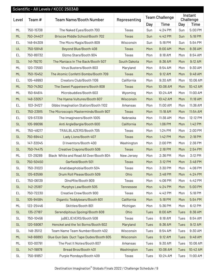|           |           | Scientific - All Levels / KCCC 2503AB   |              |      |                       |             |                      |
|-----------|-----------|-----------------------------------------|--------------|------|-----------------------|-------------|----------------------|
| Level     | Team#     | <b>Team Name/Booth Number</b>           | Representing |      | <b>Team Challenge</b> |             | Instant<br>Challenge |
|           |           |                                         |              | Day  | <b>Time</b>           | Day         | <b>Time</b>          |
| ML        | 750-15738 | The Naked Eyes/Booth 700                | Texas        | Sun  | 4:24 PM               | Sun         | 5:00 PM              |
| ML        | 750-34407 | <b>Briscoe Middle School/Booth 702</b>  | <b>Texas</b> | Sun  | 4:42 PM               | Sun         | 5:18 PM              |
| EL        | 148-64309 | The Micro Magix/Booth 809               | Wisconsin    | Sun  | 5:18 PM               | Sun         | 5:54 PM              |
| UL        | 750-59148 | Beyond Blue/Booth 408                   | <b>Texas</b> | Mon  | 8:00 AM               | Mon         | 8:36 AM              |
| EL        | 750-89732 | Gizmo Stars/Booth 904                   | Texas        | Mon  | 8:18 AM               | Mon         | 8:54 AM              |
| <b>SL</b> | 141-79270 | The Maniacs In The Back/Booth 507       | South Dakota | Mon  | 8:36 AM               | Mon         | 9:12 AM              |
| ML        | 120-72593 | Virus Busters/Booth 803                 | Maryland     | Mon  | 8:54 AM               | Mon         | 9:30 AM              |
| ML        | 750-15452 | The Atomic Confetti Bombs/Booth 709     | <b>Texas</b> | Mon  | 9:12 AM               | Mon         | 9:48 AM              |
| EL        | 105-49993 | Creators Club/Booth 1106                | California   | Mon  | 9:30 AM               | Mon         | 10:06 AM             |
| ML        | 750-74362 | The Sweet Puppeteers/Booth 808          | <b>Texas</b> | Mon  | 10:06 AM              | Mon         | 10:42 AM             |
| ML        | 150-64614 | Microbuddies/Booth 603                  | Wyoming      | Mon  | 10:24 AM              | Mon         | 11:00 AM             |
| ML        | 148-33057 | The Hyena Vultures/Booth 607            | Wisconsin    | Mon  | 10:42 AM              | Mon         | 11:18 AM             |
| EL        | 103-34127 | Gibbs Imagination Station/Booth 1102    | Arkansas     | Mon  | 11:00 AM              | Mon         | 11:36 AM             |
| EL        | 750-23915 | The Microscopic Masterminds/Booth 907   | <b>Texas</b> | Mon  | 11:18 AM              | Mon         | 11:54 AM             |
| EL        | 129-57339 | The Imagineers/Booth 1005               | Nebraska     | Mon  | 11:36 AM              | Mon         | 12:12 PM             |
| <b>SL</b> | 105-99096 | Anti ArgleBargle/Booth 600              | California   | Mon  | 1:06 PM               | Mon         | 1:42 PM              |
| ML        | 750-48217 | TRAILBLAZERS/Booth 705                  | Texas        | Mon  | 1:24 PM               | Mon         | 2:00 PM              |
| <b>SL</b> | 750-69442 | Lady Lions/Booth 407                    | <b>Texas</b> | Mon  | 1:42 PM               | Mon         | 2:18 PM              |
| <b>SL</b> | 147-32045 | D Inventors/Booth 400                   | Washington   | Mon  | 2:00 PM               | Mon         | 2:36 PM              |
| <b>SL</b> | 750-74475 | <b>Creative Crayons/Booth 506</b>       | <b>Texas</b> | Mon  | 2:18 PM               | Mon         | 2:54 PM              |
| ML        | 131-29289 | Black White and Read All Over/Booth 804 | New Jersey   | Mon  | 2:36 PM               | Mon         | 3:12 PM              |
| <b>SL</b> | 750-50450 | Garfield/Booth 501                      | <b>Texas</b> | Mon  | 3:12 PM               | Mon         | 3:48 PM              |
| <b>SL</b> | 750-31023 | Anatidaephobia/Booth 504                | Texas        | Mon  | 3:30 PM               | Mon         | 4:06 PM              |
| <b>SL</b> | 135-83599 | Drum Roll Please/Booth 509              | Ohio         | Mon  | 3:48 PM               | Mon         | 4:24 PM              |
| EL        | 750-06139 | DInoMite/Booth 909                      | Texas        | Mon  | 4:06 PM               | Mon         | 4:42 PM              |
| <b>SL</b> | 142-25187 | Murphys Law/Booth 505                   | Tennessee    | Mon  | 4:24 PM               | Mon         | 5:00 PM              |
| EL        | 750-72230 | Creative Crew/Booth 900                 | Texas        | Mon  | 4:42 PM               | Mon         | 5:18 PM              |
| <b>SL</b> | 105-94584 | Gigantic Teddybears/Booth 601           | California   | Mon  | 5:18 PM               | Mon         | 5:54 PM              |
| ML        | 122-25446 | Skittles/Booth 801                      | Michigan     | Mon  | 5:36 PM               | Mon         | 6:12 PM              |
| <b>SL</b> | 135-27187 | Serendipitous Spoingi/Booth 608         | Ohio         | Tues | 8:00 AM               | <b>Tues</b> | 8:36 AM              |
| <b>SL</b> | 750-10456 | juBELIEVERS/Booth 508                   | Texas        | Tues | 8:18 AM               | Tues        | 8:54 AM              |
| <b>SL</b> | 120-59067 | Henckel and the 1st Borns/Booth 602     | Maryland     | Tues | 8:36 AM               | <b>Tues</b> | 9:12 AM              |
| <b>SL</b> | 148-35112 | Team Name Team Number/Booth 402         | Wisconsin    | Tues | 8:54 AM               | Tues        | 9:30 AM              |
| ML        | 148-66893 | Glue Gun Gals Duct Tape Dudes/Booth 605 | Wisconsin    | Tues | 9:12 AM               | <b>Tues</b> | 9:48 AM              |
| ML        | 103-00791 | The Post It Notes/Booth 807             | Arkansas     | Tues | 9:30 AM               | Tues        | 10:06 AM             |
| <b>SL</b> | 147-19978 | Bread Bros/Booth 401                    | Washington   | Tues | 10:06 AM              | <b>Tues</b> | 10:42 AM             |
| SL        | 750-91857 | Purple Mondays/Booth 409                | Texas        | Tues | 10:24 AM              | Tues        | 11:00 AM             |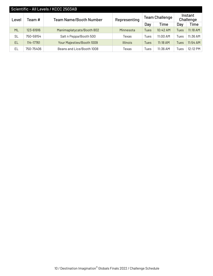| Scientific - All Levels / KCCC 2503AB |           |                               |                 |                       |            |                      |            |
|---------------------------------------|-----------|-------------------------------|-----------------|-----------------------|------------|----------------------|------------|
| Level                                 | Team #    | <b>Team Name/Booth Number</b> | Representing    | <b>Team Challenge</b> |            | Instant<br>Challenge |            |
|                                       |           |                               |                 | Day                   | Time       | Day                  | Time       |
| <b>ML</b>                             | 123-61916 | Manimaplatycats/Booth 802     | Minnesota       | Tues                  | 10:42 AM   | Tues                 | $11:18$ AM |
| <b>SL</b>                             | 750-59154 | Salt n Peppa/Booth 500        | Texas           | Tues                  | $11:00$ AM | Tues                 | 11:36 AM   |
| EL                                    | 114-17761 | Your Majesties/Booth 1009     | <b>Illinois</b> | <b>Tues</b>           | $11:18$ AM | Tues                 | $11:54$ AM |
| EL                                    | 750-75406 | Beans and Lice/Booth 1008     | Texas           | Tues                  | 11:36 AM   | Tues                 | 12:12 PM   |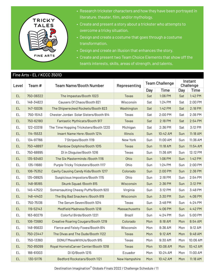

- Research trickster characters and how they have been portrayed in literature, theater, film, and/or mythology.
- Create and present a story about a trickster who attempts to overcome a tricky situation.
- Design and create a costume that goes through a costume transformation.
- Design and create an illusion that enhances the story.
- Create and present two Team Choice Elements that show off the team's interests, skills, areas of strength, and talents.

#### Fine Arts - EL / KCCC 3501D

| Team#<br>Level |           | <b>Team Name/Booth Number</b>              | Representing         |     | <b>Team Challenge</b> | Instant<br>Challenge |          |
|----------------|-----------|--------------------------------------------|----------------------|-----|-----------------------|----------------------|----------|
|                |           |                                            |                      | Day | Time                  | Day                  | Time     |
| <b>EL</b>      | 750-08322 | The Impastas/Booth 1023                    | <b>Texas</b>         | Sat | 1:06 PM               | Sat                  | 1:42 PM  |
| EL             | 148-34823 | Causers Of Chaos/Booth 821                 | Wisconsin            | Sat | 1:24 PM               | Sat                  | 2:00 PM  |
| <b>EL</b>      | 147-10036 | The Shipwrecked Rockets/Booth 823          | Washington           | Sat | 1:42 PM               | Sat                  | 2:18 PM  |
| EL             | 750-15143 | Chester Jordan Solar Sisters/Booth 914     | Texas                | Sat | 2:00 PM               | Sat                  | 2:36 PM  |
| <b>EL</b>      | 750-62180 | Fantastic Mythicats/Booth 917              | <b>Texas</b>         | Sat | 2:18 PM               | Sat                  | 2:54 PM  |
| EL             | 122-03318 | The Time Hopping Tricksters/Booth 1220     | Michigan             | Sat | 2:36 PM               | Sat                  | 3:12 PM  |
| <b>EL</b>      | 114-15533 | Insert Name Here / Booth 1214              | <b>Illinois</b>      | Sun | 10:42 AM              | Sun                  | 11:18 AM |
| EL             | 134-97766 | 7 Stripes/Booth 1119                       | New York             | Sun | 11:00 AM              | Sun                  | 11:36 AM |
| <b>EL</b>      | 750-48897 | Rainbow Dolphins/Booth 1015                | <b>Texas</b>         | Sun | 11:18 AM              | Sun                  | 11:54 AM |
| EL             | 750-68895 | DI in DIsquise/Booth 1016                  | Texas                | Sun | 11:36 AM              | Sun                  | 12:12 PM |
| <b>EL</b>      | 135-93483 | The Six Masterminds / Booth 1116           | Ohio                 | Sun | 1:06 PM               | Sun                  | 1:42 PM  |
| EL             | 135-11680 | Purple Tricky Tricksters/Booth 1117        | Ohio                 | Sun | 1:24 PM               | Sun                  | 2:00 PM  |
| <b>EL</b>      | 106-75352 | Cavity Causing Candy Kids/Booth 1217       | Colorado             | Sun | 2:00 PM               | Sun                  | 2:36 PM  |
| EL             | 135-08925 | Suspicious Impostors/Booth 1115            | Ohio                 | Sun | 2:18 PM               | Sun                  | 2:54 PM  |
| <b>EL</b>      | 148-95165 | Skunk Squad / Booth 815                    | Wisconsin            | Sun | 2:36 PM               | Sun                  | 3:12 PM  |
| EL             | 145-47522 | Somersaulting Cheesy Puffs/Booth 920       | Virginia             | Sun | 3:12 PM               | Sun                  | 3:48 PM  |
| <b>EL</b>      | 148-41403 | The Big Bad Snackers / Booth 819           | Wisconsin            | Sun | 3:30 PM               | Sun                  | 4:06 PM  |
| EL             | 750-75136 | The Serum Seven/Booth 1014                 | Texas                | Sun | 3:48 PM               | Sun                  | 4:24 PM  |
| <b>EL</b>      | 119-52143 | Medfield Madness/Booth 1218                | Massachusetts        | Sun | 4:06 PM               | Sun                  | 4:42 PM  |
| EL             | 163-60279 | Colorful Birds/Booth 1221                  | <b>Brazil</b>        | Sun | 4:24 PM               | Sun                  | 5:00 PM  |
| <b>EL</b>      | 106-72680 | <b>Creative Roaring Cougars/Booth 1219</b> | Colorado             | Mon | 8:18 AM               | Mon                  | 8:54 AM  |
| <b>EL</b>      | 148-95633 | Fierce and Feisty Foxes/Booth 814          | Wisconsin            | Mon | 8:36 AM               | Mon                  | 9:12 AM  |
| EL             | 750-23447 | The Divas and The Dude/Booth 1122          | Texas                | Mon | 9:12 AM               | Mon                  | 9:48 AM  |
| EL.            | 750-13360 | DONUTMessWithUs/Booth 915                  | Texas                | Mon | 9:30 AM               | Mon                  | 10:06 AM |
| <b>EL</b>      | 750-85099 | Royal HornetsCarver Center/Booth 1018      | <b>Texas</b>         | Mon | 10:06 AM              | Mon                  | 10:42 AM |
| EL.            | 166-61003 | DI IQ/Booth 1215                           | Ecuador              | Mon | 10:24 AM              | Mon                  | 11:00 AM |
| <b>EL</b>      | 130-51176 | <b>Bedford Rockstars/Booth 1121</b>        | <b>New Hampshire</b> | Mon | 10:42 AM              | Mon                  | 11:18 AM |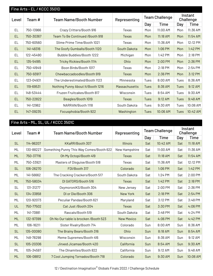|           | Fine Arts - EL / KCCC 3501D |                                   |               |                       |            |                      |             |  |  |
|-----------|-----------------------------|-----------------------------------|---------------|-----------------------|------------|----------------------|-------------|--|--|
| Level     | Team #                      | <b>Team Name/Booth Number</b>     | Representing  | <b>Team Challenge</b> |            | Instant<br>Challenge |             |  |  |
|           |                             |                                   |               | Day                   | Time       | Day                  | <b>Time</b> |  |  |
| EL        | 750-13966                   | Crazy Critters/Booth 916          | Texas         | Mon                   | 11:00 AM   | Mon                  | 11:36 AM    |  |  |
| EL        | 750-30367                   | Team To Be Continued / Booth 918  | <b>Texas</b>  | Mon                   | 11:18 AM   | Mon                  | 11:54 AM    |  |  |
| EL        | 750-60560                   | Slime Prime Time/Booth 1021       | Texas         | Mon                   | 11:36 AM   | Mon                  | 12:12 PM    |  |  |
| <b>EL</b> | 141-48316                   | The Goofy Gumballs/Booth 1120     | South Dakota  | Mon                   | $1:06$ PM  | Mon                  | 1:42 PM     |  |  |
| EL        | 122-45490                   | Bubble Buddies/Booth 1222         | Michigan      | Mon                   | 1:42 PM    | Mon                  | 2:18 PM     |  |  |
| <b>EL</b> | 135-54185                   | Tricky Rickies/Booth 1114         | <b>Ohio</b>   | Mon                   | 2:00 PM    | Mon                  | 2:36 PM     |  |  |
| EL        | 750-41949                   | Boon Birds/Booth 1017             | Texas         | Mon                   | 2:18 PM    | Mon                  | 2:54 PM     |  |  |
| EL        | 750-93917                   | Chewbaccadoodles/Booth 919        | Texas         | Mon                   | 2:36 PM    | Mon                  | 3:12 PM     |  |  |
| EL        | 123-04931                   | The Underestimated/Booth 1123     | Minnesota     | Tues                  | 8:00 AM    | Tues                 | 8:36 AM     |  |  |
| EL        | 119-69531                   | Nothing Punny About It/Booth 1216 | Massachusetts | <b>Tues</b>           | 8:36 AM    | Tues                 | 9:12 AM     |  |  |
| EL        | 148-53444                   | Fruzen Fruitcakes/Booth 817       | Wisconsin     | Tues                  | 8:54 AM    | Tues                 | 9:30 AM     |  |  |
| <b>EL</b> | 750-22822                   | Beagles/Booth 1019                | Texas         | Tues                  | 9:12 AM    | Tues                 | 9:48 AM     |  |  |
| EL        | 141-12962                   | NARRAN/Booth 1118                 | South Dakota  | Tues                  | 9:30 AM    | Tues                 | 10:06 AM    |  |  |
| <b>EL</b> | 147-09235                   | Focusphobia/Booth 922             | Washington    | <b>Tues</b>           | $10:06$ AM | Tues                 | 10:42 AM    |  |  |

### Fine Arts - ML, SL, UL / KCCC 3501C

| Level     | Team #    | <b>Team Name/Booth Number</b>            | Representing      | <b>Team Challenge</b> |             | Instant<br>Challenge |             |
|-----------|-----------|------------------------------------------|-------------------|-----------------------|-------------|----------------------|-------------|
|           |           |                                          |                   | Day                   | <b>Time</b> | Day                  | <b>Time</b> |
| <b>SL</b> | 114-96207 | KKaRR/Booth 307                          | <b>Illinois</b>   | Sat                   | 10:42 AM    | Sat                  | 11:18 AM    |
| ML        | 130-88227 | Something Punny This Way Comes/Booth 622 | New Hampshire     | Sat                   | 11:00 AM    | Sat                  | 11:36 AM    |
| <b>ML</b> | 750-37716 | Oh My Octopi/Booth 419                   | <b>Texas</b>      | Sat                   | 11:18 AM    | Sat                  | 11:54 AM    |
| ML        | 750-33921 | Masters of Disguise/Booth 518            | Texas             | Sat                   | 11:36 AM    | Sat                  | 12:12 PM    |
| <b>SL</b> | 106-26270 | FDI/Booth 317                            | Colorado          | Sat                   | 1:06 PM     | Sat                  | 1:42 PM     |
| ML        | 141-56662 | The Cracking Crackers/Booth 517          | South Dakota      | Sat                   | 1:24 PM     | Sat                  | 2:00 PM     |
| <b>ML</b> | 750-58034 | DI GATORS/Booth 516                      | <b>Texas</b>      | Sat                   | 1:42 PM     | Sat                  | 2:18 PM     |
| <b>SL</b> | 131-31277 | OxymoroniKS/Booth 304                    | New Jersey        | Sat                   | 2:00 PM     | Sat                  | 2:36 PM     |
| <b>SL</b> | 134-33858 | DI or Die/Booth 306                      | New York          | Sat                   | 2:18 PM     | Sat                  | 2:54 PM     |
| ML        | 120-92073 | Peculiar Pandas/Booth 621                | Maryland          | Sat                   | 3:12 PM     | Sat                  | 3:48 PM     |
| UL        | 750-77502 | Cat Just /Booth 204                      | <b>Texas</b>      | Sat                   | 3:30 PM     | Sat                  | 4:06 PM     |
| ML        | 141-73881 | Rascals/Booth 519                        | South Dakota      | Sat                   | 3:48 PM     | Sat                  | 4:24 PM     |
| <b>ML</b> | 132-97399 | Oh No Our table is brocken / Booth 523   | <b>New Mexico</b> | Sat                   | 4:06 PM     | Sat                  | 4:42 PM     |
| ML        | 106-16211 | Sister Rivalry/Booth 714                 | Colorado          | Sun                   | 8:00 AM     | Sun                  | 8:36 AM     |
| <b>SL</b> | 135-00080 | The Brainy Bears/Booth 316               | Ohio              | Sun                   | 8:18 AM     | Sun                  | 8:54 AM     |
| ML        | 148-78298 | Meme Supremes/Booth 416                  | Wisconsin         | Sun                   | 8:36 AM     | Sun                  | 9:12 AM     |
| <b>SL</b> | 105-20306 | Jinxed Jicamas/Booth 420                 | California        | Sun                   | 8:54 AM     | Sun                  | 9:30 AM     |
| ML        | 105-34597 | The DInamites/Booth 822                  | California        | Sun                   | 9:12 AM     | Sun                  | 9:48 AM     |
| <b>ML</b> | 106-08812 | 7 Cool Jumping Tornados/Booth 718        | Colorado          | Sun                   | 9:30 AM     | Sun                  | 10:06 AM    |

12 / Destination Imagination® Globals Finals 2022 / Challenge Schedule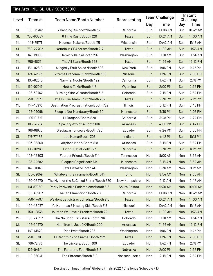|           |           | Fine Arts - ML, SL, UL / KCCC 3501C          |               |     |                       |     |                      |
|-----------|-----------|----------------------------------------------|---------------|-----|-----------------------|-----|----------------------|
| Level     | Team#     | <b>Team Name/Booth Number</b>                | Representing  |     | <b>Team Challenge</b> |     | Instant<br>Challenge |
|           |           |                                              |               | Day | <b>Time</b>           | Day | <b>Time</b>          |
| <b>SL</b> | 105-03762 | 7 Dancing Cukoooz/Booth 321                  | California    | Sun | 10:06 AM              | Sun | 10:42 AM             |
| <b>SL</b> | 750-90587 | 6 Time Rush/Booth 320                        | <b>Texas</b>  | Sun | 10:24 AM              | Sun | 11:00 AM             |
| ML        | 148-55171 | Madness Makers / Booth 415                   | Wisconsin     | Sun | 10:42 AM              | Sun | 11:18 AM             |
| <b>SL</b> | 750-22702 | Nefarious SEAhorses/Booth 217                | <b>Texas</b>  | Sun | 11:00 AM              | Sun | 11:36 AM             |
| <b>SL</b> | 147-19808 | Heroic Villains/Booth 207                    | Washington    | Sun | 11:18 AM              | Sun | 11:54 AM             |
| ML        | 750-68331 | The All Stars/Booth 522                      | <b>Texas</b>  | Sun | 11:36 AM              | Sun | 12:12 PM             |
| <b>SL</b> | 134-02819 | Allegedly Fruit Salad / Booth 308            | New York      | Sun | 1:06 PM               | Sun | 1:42 PM              |
| <b>SL</b> | 124-42613 | Extreme Grandma Rugby/Booth 300              | Missouri      | Sun | 1:24 PM               | Sun | 2:00 PM              |
| <b>SL</b> | 105-82315 | Narwhal Noobs/Booth 422                      | California    | Sun | 1:42 PM               | Sun | 2:18 PM              |
| <b>ML</b> | 150-03019 | Hottie Takis/Booth 418                       | Wyoming       | Sun | 2:00 PM               | Sun | 2:36 PM              |
| <b>SL</b> | 106-30762 | Burning Wire Wizards/Booth 315               | Colorado      | Sun | 2:18 PM               | Sun | 2:54 PM              |
| UL        | 750-15279 | Smells Like Team Spirit/Booth 202            | <b>Texas</b>  | Sun | 2:36 PM               | Sun | 3:12 PM              |
| ML        | 114-45910 | <b>Destination Procrastination/Booth 722</b> | Illinois      | Sun | 3:12 PM               | Sun | 3:48 PM              |
| <b>SL</b> | 123-07096 | Sleep is Not Mandatory/Booth 301             | Minnesota     | Sun | 3:30 PM               | Sun | 4:06 PM              |
| ML        | 105-01715 | DI Dragons/Booth 820                         | California    | Sun | 3:48 PM               | Sun | 4:24 PM              |
| <b>ML</b> | 103-37214 | Spa City Axolotls/Booth 816                  | Arkansas      | Sun | 4:06 PM               | Sun | 4:42 PM              |
| ML        | 166-81975 | Gladiawarrior souls /Booth 720               | Ecuador       | Sun | 4:24 PM               | Sun | 5:00 PM              |
| <b>SL</b> | 115-77462 | Joe Mama/Booth 305                           | Indiana       | Sun | 4:42 PM               | Sun | 5:18 PM              |
| ML        | 103-85869 | Airplane Mode/Booth 818                      | Arkansas      | Sun | 5:18 PM               | Sun | 5:54 PM              |
| <b>ML</b> | 105-10268 | Light Bulbs/Booth 723                        | California    | Sun | 5:36 PM               | Sun | 6:12 PM              |
| ML        | 142-46803 | Fourest Friends/Booth 514                    | Tennessee     | Mon | 8:00 AM               | Mon | 8:36 AM              |
| <b>ML</b> | 123-44682 | Clogged Cogs/Booth 614                       | Minnesota     | Mon | 8:18 AM               | Mon | 8:54 AM              |
| ML        | 147-01045 | Jazz Pizzazz/Booth 417                       | Washington    | Mon | 8:36 AM               | Mon | 9:12 AM              |
| <b>SL</b> | 135-59659 | Whatever their name is/Booth 314             | Ohio          | Mon | 8:54 AM               | Mon | 9:30 AM              |
| ML        | 130-03970 | The Myth of the SoCalled Sister/Booth 620    | New Hampshire | Mon | 9:12 AM               | Mon | 9:48 AM              |
| ML        | 141-87950 | Perky Periwinkle Pademelons/Booth 515        | South Dakota  | Mon | 9:30 AM               | Mon | 10:06 AM             |
| ML        | 105-48207 | The 6th DImention/Booth 717                  | California    | Mon | 10:06 AM              | Mon | 10:42 AM             |
| <b>SL</b> | 750-17497 | We dont get distrac ooh pizza/Booth 215      | <b>Texas</b>  | Mon | 10:24 AM              | Mon | 11:00 AM             |
| ML        | 124-45037 | Yo Mommas 5 Missing Kids/Booth 616           | Missouri      | Mon | 10:42 AM              | Mon | 11:18 AM             |
| <b>SL</b> | 750-18838 | Houston We Have a Problem/Booth 221          | Texas         | Mon | 11:00 AM              | Mon | 11:36 AM             |
| ML        | 106-24627 | The No Good Tricksters/Booth 716             | Colorado      | Mon | 11:18 AM              | Mon | 11:54 AM             |
| UL        | 103-94370 | Hamilton is Just OK/Booth 200                | Arkansas      | Mon | 11:36 AM              | Mon | 12:12 PM             |
| <b>SL</b> | 147-61870 | Plot Twist/Booth 205                         | Washington    | Mon | 1:06 PM               | Mon | 1:42 PM              |
| <b>SL</b> | 750-16786 | DI Cant think of a name/Booth 322            | Texas         | Mon | 1:24 PM               | Mon | 2:00 PM              |
| <b>SL</b> | 166-72176 | The trickers/Booth 309                       | Ecuador       | Mon | 1:42 PM               | Mon | 2:18 PM              |
| ML        | 129-04641 | The Fantastic Four/Booth 618                 | Nebraska      | Mon | 2:00 PM               | Mon | 2:36 PM              |
| ML        | 119-86041 | The Shrooms/Booth 619                        | Massachusetts | Mon | 2:18 PM               | Mon | 2:54 PM              |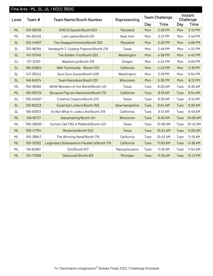|           |           | Fine Arts - ML, SL, UL / KCCC 3501C        |                      |                       |             |                      |             |
|-----------|-----------|--------------------------------------------|----------------------|-----------------------|-------------|----------------------|-------------|
| Level     | Team #    | <b>Team Name/Booth Number</b>              | Representing         | <b>Team Challenge</b> |             | Instant<br>Challenge |             |
|           |           |                                            |                      | Day                   | <b>Time</b> | Day                  | <b>Time</b> |
| <b>ML</b> | 120-99238 | EMS DI Squids/Booth 623                    | Maryland             | Mon                   | 2:36 PM     | Mon                  | 3:12 PM     |
| ML        | 134-65425 | Loki Ladies/Booth 521                      | New York             | Mon                   | 3:12 PM     | Mon                  | 3:48 PM     |
| <b>SL</b> | 120-44907 | The Disappointments/Booth 303              | Maryland             | Mon                   | 3:30 PM     | Mon                  | 4:06 PM     |
| <b>SL</b> | 750-68764 | Vandegrift 3 Cowboy Pigeons/Booth 219      | Texas                | Mon                   | 3:48 PM     | Mon                  | 4:24 PM     |
| <b>SL</b> | 147-07149 | The Golden Trio/Booth 203                  | Washington           | Mon                   | 4:06 PM     | Mon                  | 4:42 PM     |
| <b>SL</b> | 137-15301 | Washed up/Booth 318                        | Oregon               | Mon                   | 4:24 PM     | Mon                  | 5:00 PM     |
| <b>SL</b> | 105-52802 | Well Technically / Booth 323               | California           | Mon                   | 4:42 PM     | Mon                  | 5:18 PM     |
| <b>SL</b> | 147-35242 | Duct Duct Goose/Booth 209                  | Washington           | Mon                   | 5:18 PM     | Mon                  | 5:54 PM     |
| <b>SL</b> | 148-64574 | <b>Team Nameless/Booth 201</b>             | Wisconsin            | Mon                   | 5:36 PM     | Mon                  | 6:12 PM     |
| ML        | 750-99382 | WOW Wonders of the World/Booth 421         | Texas                | Tues                  | 8:00 AM     | Tues                 | 8:36 AM     |
| <b>ML</b> | 105-08729 | Because Pigs are Awesome/Booth 721         | California           | Tues                  | 8:18 AM     | Tues                 | 8:54 AM     |
| <b>SL</b> | 750-04507 | Creative Crayons/Booth 223                 | Texas                | Tues                  | 8:36 AM     | Tues                 | 9:12 AM     |
| <b>SL</b> | 130-60223 | <b>Essential Lurkers/Booth 302</b>         | <b>New Hampshire</b> | <b>Tues</b>           | 8:54 AM     | Tues                 | 9:30 AM     |
| <b>SL</b> | 105-63873 | Its Not What It Looks Like/Booth 319       | California           | Tues                  | 9:12 AM     | Tues                 | 9:48 AM     |
| <b>ML</b> | 148-85717 | Alacamazing/Booth 414                      | Wisconsin            | <b>Tues</b>           | 9:30 AM     | <b>Tues</b>          | 10:06 AM    |
| ML        | 750-38005 | Curtain Call YWLA Midland/Booth 423        | Texas                | Tues                  | 10:06 AM    | Tues                 | 10:42 AM    |
| <b>ML</b> | 750-47754 | Wukacha/Booth 520                          | <b>Texas</b>         | <b>Tues</b>           | 10:24 AM    | <b>Tues</b>          | 11:00 AM    |
| <b>ML</b> | 105-38847 | The Winning Hand/Booth 715                 | California           | Tues                  | 10:42 AM    | Tues                 | 11:18 AM    |
| <b>ML</b> | 105-75252 | Legendary Dishwashers Parallel U/Booth 719 | California           | <b>Tues</b>           | 11:00 AM    | Tues                 | 11:36 AM    |
| ML        | 119-62697 | StH/Booth 617                              | Massachusetts        | Tues                  | 11:18 AM    | Tues                 | 11:54 AM    |
| <b>ML</b> | 122-77599 | Dlamonds/Booth 615                         | Michigan             | <b>Tues</b>           | 11:36 AM    | <b>Tues</b>          | 12:12 PM    |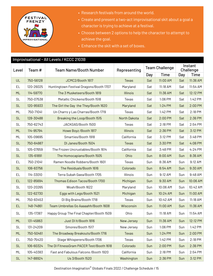

- Research festivals from around the world.
- Create and present a two-act improvisational skit about a goal a character is trying to achieve at a festival.
- Choose between 2 options to help the character to attempt to achieve the goal.
- Enhance the skit with a set of boxes.

|           |           | Improvisational - All Levels / KCCC 2103B |                 |     |                       |     |                      |
|-----------|-----------|-------------------------------------------|-----------------|-----|-----------------------|-----|----------------------|
| Level     | Team#     | <b>Team Name/Booth Number</b>             | Representing    |     | <b>Team Challenge</b> |     | Instant<br>Challenge |
|           |           |                                           |                 | Day | <b>Time</b>           | Day | <b>Time</b>          |
| UL        | 750-56128 | JCMC2/Booth 1617                          | <b>Texas</b>    | Sat | 11:00 AM              | Sat | 11:36 AM             |
| EL        | 120-26025 | Huntingtown Festival Dragons/Booth 1707   | Maryland        | Sat | 11:18 AM              | Sat | 11:54 AM             |
| <b>ML</b> | 114-59770 | The 3 Musketeers/Booth 1819               | <b>Illinois</b> | Sat | 11:36 AM              | Sat | 12:12 PM             |
| <b>SL</b> | 750-07538 | Metallic Chickens/Booth 1518              | Texas           | Sat | 1:06 PM               | Sat | 1:42 PM              |
| <b>SL</b> | 120-95933 | The Girl the Gay the They/Booth 1620      | Maryland        | Sat | 1:24 PM               | Sat | 2:00 PM              |
| ML        | 750-71041 | Un Charro y Las Charras/Booth 1719        | Texas           | Sat | 1:42 PM               | Sat | 2:18 PM              |
| <b>SL</b> | 128-30488 | Breaking the Loop/Booth 1515              | North Dakota    | Sat | 2:00 PM               | Sat | 2:36 PM              |
| <b>SL</b> | 750-62743 | JACKGAS/Booth 1500                        | Texas           | Sat | 2:18 PM               | Sat | 2:54 PM              |
| <b>ML</b> | 114-95794 | Howe Boyz / Booth 1817                    | <b>Illinois</b> | Sat | 2:36 PM               | Sat | 3:12 PM              |
| ML        | 105-09695 | Smarties/Booth 1918                       | California      | Sat | 3:12 PM               | Sat | 3:48 PM              |
| <b>SL</b> | 750-64987 | DI Janes/Booth 1504                       | <b>Texas</b>    | Sat | 3:30 PM               | Sat | 4:06 PM              |
| <b>SL</b> | 105-07659 | The Frozen Uncrustables/Booth 1614        | California      | Sat | 3:48 PM               | Sat | 4:24 PM              |
| <b>SL</b> | 135-61891 | The Homocapians/Booth 1505                | <b>Ohio</b>     | Sun | 8:00 AM               | Sun | 8:36 AM              |
| EL        | 750-21041 | Ramen Noodle Robbers/Booth 1601           | Texas           | Sun | 8:36 AM               | Sun | 9:12 AM              |
| <b>SL</b> | 106-83756 | The Residuals/Booth 1616                  | Colorado        | Sun | 8:54 AM               | Sun | 9:30 AM              |
| EL        | 114-33010 | Terra Subah Gaea/Booth 1705               | Illinois        | Sun | 9:12 AM               | Sun | 9:48 AM              |
| EL        | 122-85694 | Thomas Edison Tacos/Booth 1700            | Michigan        | Sun | 9:30 AM               | Sun | 10:06 AM             |
| <b>SL</b> | 120-20265 | Woah/Booth 1622                           | Maryland        | Sun | 10:06 AM              | Sun | 10:42 AM             |
| <b>SL</b> | 122-62730 | Eggs with Legs/Booth 1521                 | Michigan        | Sun | 10:24 AM              | Sun | 11:00 AM             |
| ML        | 750-83453 | DI Big Brains/Booth 1718                  | Texas           | Sun | 10:42 AM              | Sun | 11:18 AM             |
| EL        | 148-74861 | Team Umbrellas Go Aaaaahh/Booth 1608      | Wisconsin       | Sun | 11:00 AM              | Sun | 11:36 AM             |
| SL        | 135-17387 | Happy Group The Final Chapter/Booth 1509  | Ohio            | Sun | 11:18 AM              | Sun | 11:54 AM             |
| ML        | 131-45863 | Just DI It/Booth 1816                     | New Jersey      | Sun | 11:36 AM              | Sun | 12:12 PM             |
| <b>SL</b> | 131-24209 | Smores/Booth 1517                         | New Jersey      | Sun | 1:06 PM               | Sun | 1:42 PM              |
| <b>ML</b> | 750-50461 | The Broadway Breakouts/Booth 1716         | <b>Texas</b>    | Sun | 1:24 PM               | Sun | 2:00 PM              |
| EL        | 750-75420 | Stage Whisperers/Booth 1706               | Texas           | Sun | 1:42 PM               | Sun | 2:18 PM              |
| <b>SL</b> | 106-60324 | The DI FitnessGram PACER Test/Booth 1618  | Colorado        | Sun | 2:00 PM               | Sun | 2:36 PM              |
| ML        | 105-40383 | Fast and Fabulous Falcons / Booth 1920    | California      | Sun | 2:18 PM               | Sun | 2:54 PM              |
| <b>SL</b> | 147-88924 | Us 3/Booth 1520                           | Washington      | Sun | 2:36 PM               | Sun | 3:12 PM              |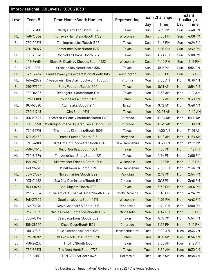| Improvisational - All Levels / KCCC 2103B |           |                                            |                |      |                       |      |                      |
|-------------------------------------------|-----------|--------------------------------------------|----------------|------|-----------------------|------|----------------------|
| Level                                     | Team#     | <b>Team Name/Booth Number</b>              | Representing   |      | <b>Team Challenge</b> |      | Instant<br>Challenge |
|                                           |           |                                            |                | Day  | <b>Time</b>           | Day  | <b>Time</b>          |
| <b>SL</b>                                 | 750-71700 | Nerdy Birdy Trio/Booth 1514                | Texas          | Sun  | 3:12 PM               | Sun  | 3:48 PM              |
| ML                                        | 148-76364 | Runaway Hamstens/Booth 1722                | Wisconsin      | Sun  | 3:30 PM               | Sun  | 4:06 PM              |
| EL                                        | 750-94815 | The Improvables/Booth 1607                 | Texas          | Sun  | 3:48 PM               | Sun  | 4:24 PM              |
| <b>EL</b>                                 | 750-78027 | Sometimes Wise/Booth 1602                  | <b>Texas</b>   | Sun  | 4:06 PM               | Sun  | 4:42 PM              |
| ML                                        | 750-20941 | Controlled Chaos/Booth 1717                | Texas          | Sun  | 4:24 PM               | Sun  | 5:00 PM              |
| <b>SL</b>                                 | 148-74419 | Glebe Ft Death by Cheese/Booth 1522        | Wisconsin      | Sun  | 4:42 PM               | Sun  | 5:18 PM              |
| <b>SL</b>                                 | 750-42081 | Frenzied Revelers/Booth 1516               | Texas          | Sun  | 5:18 PM               | Sun  | 5:54 PM              |
| ML                                        | 147-14433 | Please lower your expectations/Booth 1615  | Washington     | Sun  | 5:36 PM               | Sun  | 6:12 PM              |
| ML                                        | 145-42679 | Awesomeish Big Brain Bookworm P/Booth      | Virginia       | Mon  | 8:00 AM               | Mon  | 8:36 AM              |
| <b>EL</b>                                 | 750-77504 | Salty Popcorn/Booth 1600                   | <b>Texas</b>   | Mon  | 8:18 AM               | Mon  | 8:54 AM              |
| ML                                        | 750-16387 | Teenagers Tiaras/Booth 1714                | Texas          | Mon  | 8:36 AM               | Mon  | 9:12 AM              |
| <b>SL</b>                                 | 135-50819 | Young Fives/Booth 1507                     | Ohio           | Mon  | 8:54 AM               | Mon  | 9:30 AM              |
| ML                                        | 163-58590 | Atumalaka/Booth 1914                       | <b>Brazil</b>  | Mon  | 9:12 AM               | Mon  | 9:48 AM              |
| UL                                        | 750-21748 | CIA/Booth 1619                             | <b>Texas</b>   | Mon  | 10:06 AM              | Mon  | 10:42 AM             |
| ML                                        | 106-87427 | DIsasterous Lonely Bathtubs/Booth 1922     | Colorado       | Mon  | 10:24 AM              | Mon  | 11:00 AM             |
| ML                                        | 106-51250 | MidKnights of the Squared Table/Booth 1823 | Colorado       | Mon  | 10:42 AM              | Mon  | 11:18 AM             |
| EL                                        | 750-65716 | The Improv Einsteins/Booth 1609            | Texas          | Mon  | 11:00 AM              | Mon  | 11:36 AM             |
| ML                                        | 120-23460 | Drama Queens/Booth 1815                    | Maryland       | Mon  | 11:18 AM              | Mon  | 11:54 AM             |
| ML                                        | 130-74919 | Extra Hot Hot Chocolate/Booth 1814         | New Hampshire  | Mon  | 11:36 AM              | Mon  | 12:12 PM             |
| <b>EL</b>                                 | 750-07546 | Gucci Gorillas/Booth 1603                  | <b>Texas</b>   | Mon  | 1:06 PM               | Mon  | 1:42 PM              |
| ML                                        | 750-81674 | The American Stars/Booth 1721              | Texas          | Mon  | 1:24 PM               | Mon  | 2:00 PM              |
| EL                                        | 148-28298 | <b>Dlishwasher Friends/Booth 1606</b>      | Wisconsin      | Mon  | 1:42 PM               | Mon  | 2:18 PM              |
| <b>SL</b>                                 | 130-95278 | MindBlowers/Booth 1519                     | New Hampshire  | Mon  | 2:00 PM               | Mon  | 2:36 PM              |
| ML                                        | 337-37327 | Ninjas Fairies/Booth 1822                  | Pakistan       | Mon  | 2:18 PM               | Mon  | 2:54 PM              |
| <b>SL</b>                                 | 103-01422 | Spa City Dominators/Booth 1621             | Arkansas       | Mon  | 3:12 PM               | Mon  | 3:48 PM              |
| <b>SL</b>                                 | 750-08244 | <b>Goal Diggers/Booth 1508</b>             | Texas          | Mon  | 3:30 PM               | Mon  | 4:06 PM              |
| EL                                        | 127-35894 | Equivalent of 10 Tbsp of Sugar/Booth 1704  | North Carolina | Mon  | 3:48 PM               | Mon  | 4:24 PM              |
| ML                                        | 148-27803 | Octollamalopes/Booth 1915                  | Wisconsin      | Mon  | 4:06 PM               | Mon  | 4:42 PM              |
| ML                                        | 142-79479 | News Channel 36/Booth 1715                 | Tennessee      | Mon  | 4:24 PM               | Mon  | 5:00 PM              |
| EL                                        | 123-70699 | Magic Fireball Tornadoes/Booth 1702        | Minnesota      | Mon  | 4:42 PM               | Mon  | 5:18 PM              |
| <b>SL</b>                                 | 750-70314 | Caarbadarbons/Booth 1502                   | Texas          | Mon  | 5:18 PM               | Mon  | 5:54 PM              |
| ML                                        | 106-26990 | Disco Dogs/Booth 1821                      | Colorado       | Mon  | 5:36 PM               | Mon  | 6:12 PM              |
| <b>SL</b>                                 | 119-47516 | Blue Mustaches/Booth 1523                  | Massachusetts  | Tues | 8:00 AM               | Tues | 8:36 AM              |
| ML                                        | 135-36212 | Classic Rock Cats/Booth 1820               | Ohio           | Tues | 8:18 AM               | Tues | 8:54 AM              |
| <b>SL</b>                                 | 750-24237 | TROTIC/Booth 1506                          | Texas          | Tues | 8:36 AM               | Tues | 9:12 AM              |
| ML                                        | 750-83813 | The Nerd Herd/Booth 1723                   | Texas          | Tues | 8:54 AM               | Tues | 9:30 AM              |
| SL                                        | 105-61189 | STEM CELLS/Booth 1623                      | California     | Tues | 9:12 AM               | Tues | 9:48 AM              |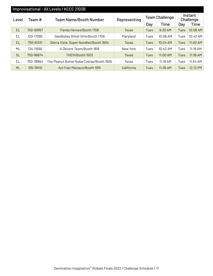| Improvisational - All Levels / KCCC 2103B |                                         |                                          |                       |      |                      |             |            |  |  |  |  |
|-------------------------------------------|-----------------------------------------|------------------------------------------|-----------------------|------|----------------------|-------------|------------|--|--|--|--|
| Level                                     | <b>Team Name/Booth Number</b><br>Team # | Representing                             | <b>Team Challenge</b> |      | Instant<br>Challenge |             |            |  |  |  |  |
|                                           |                                         |                                          |                       | Day  | Time                 | Day         | Time       |  |  |  |  |
| EL.                                       | 750-93857                               | Panda Heroes/Booth 1708                  | Texas                 | Tues | $9:30$ AM            | Tues        | 10:06 AM   |  |  |  |  |
| EL                                        | 120-17390                               | GaleBailey Ghost Girls/Booth 1709        | Maryland              | Tues | 10:06 AM             | Tues        | 10:42 AM   |  |  |  |  |
| EL.                                       | 750-61331                               | Sierra Vista Super Noodles/Booth 1604    | Texas                 | Tues | 10:24 AM             | Tues        | $11:00$ AM |  |  |  |  |
| ML                                        | 134-11690                               | A Decent Team/Booth 1818                 | New York              | Tues | 10:42 AM             | Tues        | $11:18$ AM |  |  |  |  |
| <b>SL</b>                                 | 750-96874                               | THEM/Booth 1503                          | Texas                 | Tues | $11:00$ AM           | <b>Tues</b> | 11:36 AM   |  |  |  |  |
| EL                                        | 750-38864                               | The Peanut Butter Boba Cobras/Booth 1605 | Texas                 | Tues | $11:18$ AM           | Tues        | 11:54 AM   |  |  |  |  |
| <b>ML</b>                                 | 105-78110                               | Act Fast Maniacs/Booth 1916              | California            | Tues | $11:36$ AM           | Tues        | 12:12 PM   |  |  |  |  |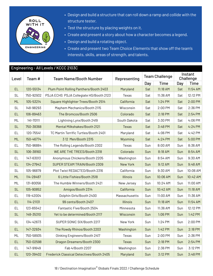

- Design and build a structure that can roll down a ramp and collide with the structure tester.
- Test the structure by placing weights on it.
- Create and present a story about how a character becomes a legend.
- Design and build a rotating object.
- Create and present two Team Choice Elements that show off the team's interests, skills, areas of strength, and talents.

#### Engineering - All Levels / KCCC 2103C

| Level     | Team#     | <b>Team Name/Booth Number</b><br>Representing |                 | <b>Team Challenge</b> |          | Instant<br>Challenge |             |
|-----------|-----------|-----------------------------------------------|-----------------|-----------------------|----------|----------------------|-------------|
|           |           |                                               |                 | Day                   | Time     | Day                  | <b>Time</b> |
| <b>EL</b> | 120-55134 | Plum Point Rolling Panthers/Booth 2403        | Maryland        | Sat                   | 11:18 AM | Sat                  | 11:54 AM    |
| <b>SL</b> | 750-92932 | PSJA ECHS PSJA Collegiate HS/Booth 2123       | Texas           | Sat                   | 11:36 AM | Sat                  | 12:12 PM    |
| <b>ML</b> | 105-53214 | Square Highlighter Trees/Booth 2514           | California      | Sat                   | 1:24 PM  | Sat                  | 2:00 PM     |
| <b>SL</b> | 148-98293 | Mayhem Mechanics/Booth 2115                   | Wisconsin       | Sat                   | 2:00 PM  | Sat                  | 2:36 PM     |
| <b>EL</b> | 106-89463 | The Bromcos/Booth 2506                        | Colorado        | Sat                   | 2:18 PM  | Sat                  | 2:54 PM     |
| ML        | 141-70111 | Lightning Lynx/Booth 2419                     | South Dakota    | Sat                   | 3:30 PM  | Sat                  | 4:06 PM     |
| <b>SL</b> | 750-38368 | Mental Milkshakes/Booth 2121                  | <b>Texas</b>    | Sat                   | 3:48 PM  | Sat                  | 4:24 PM     |
| EL        | 120-75541 | TC Martin Terrific Turtles/Booth 2401         | Maryland        | Sat                   | 4:06 PM  | Sat                  | 4:42 PM     |
| <b>ML</b> | 150-46774 | 312 Men/Booth 2315                            | Wyoming         | Sat                   | 4:24 PM  | Sat                  | 5:00 PM     |
| EL        | 750-96884 | The Rolling Legends/Booth 2302                | Texas           | Sun                   | 8:00 AM  | Sun                  | 8:36 AM     |
| <b>SL</b> | 106-38160 | WE ARE THE TREES/Booth 2318                   | Colorado        | Sun                   | 8:18 AM  | Sun                  | 8:54 AM     |
| EL        | 147-63013 | Anonymous Chickens/Booth 2205                 | Washington      | Sun                   | 8:54 AM  | Sun                  | 9:30 AM     |
| <b>EL</b> | 134-27942 | SUPER STEAM TRAIN/Booth 2309                  | <b>New York</b> | Sun                   | 9:12 AM  | Sun                  | 9:48 AM     |
| <b>SL</b> | 105-96879 | Plot Twist REDACTED/Booth 2316                | California      | Sun                   | 9:30 AM  | Sun                  | 10:06 AM    |
| <b>ML</b> | 114-28487 | 6 Little Fishies/Booth 2518                   | <b>Illinois</b> | Sun                   | 10:06 AM | Sun                  | 10:42 AM    |
| ML        | 131-80056 | The Humble Winners/Booth 2421                 | New Jersey      | Sun                   | 10:24 AM | Sun                  | 11:00 AM    |
| <b>SL</b> | 105-90852 | Amigos/Booth 2314                             | California      | Sun                   | 10:42 AM | Sun                  | 11:18 AM    |
| EL        | 119-42004 | Dolphin Girls/Booth 2400                      | Massachusetts   | Sun                   | 11:00 AM | Sun                  | 11:36 AM    |
| <b>EL</b> | 114-21131 | 99 cents/Booth 2407                           | <b>Illinois</b> | Sun                   | 11:18 AM | Sun                  | 11:54 AM    |
| EL        | 123-65542 | Fantastic Five/Booth 2504                     | Minnesota       | Sun                   | 11:36 AM | Sun                  | 12:12 PM    |
| <b>SL</b> | 148-35310 | Yet to be determined/Booth 2117               | Wisconsin       | Sun                   | 1:06 PM  | Sun                  | 1:42 PM     |
| <b>SL</b> | 134-42673 | SUPER SONIC SIX/Booth 2217                    | New York        | Sun                   | 1:24 PM  | Sun                  | 2:00 PM     |
| <b>EL</b> | 147-32934 | The Rowdy Rhinos/Booth 2203                   | Washington      | Sun                   | 1:42 PM  | Sun                  | 2:18 PM     |
| ML        | 750-58935 | Oinking Engineers/Booth 2417                  | Texas           | Sun                   | 2:00 PM  | Sun                  | 2:36 PM     |
| EL.       | 750-02598 | Dragon Dreamers/Booth 2300                    | <b>Texas</b>    | Sun                   | 2:18 PM  | Sun                  | 2:54 PM     |
| EL        | 147-91649 | Fab 4/Booth 2207                              | Washington      | Sun                   | 2:36 PM  | Sun                  | 3:12 PM     |
| EL.       | 120-39402 | Frederick Classical Detectives/Booth 2405     | Maryland        | Sun                   | 3:12 PM  | Sun                  | 3:48 PM     |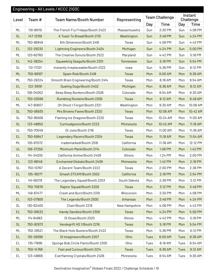| Engineering - All Levels / KCCC 2103C |           |                                     |               |                       |             |                      |             |  |
|---------------------------------------|-----------|-------------------------------------|---------------|-----------------------|-------------|----------------------|-------------|--|
| Level                                 | Team #    | <b>Team Name/Booth Number</b>       | Representing  | <b>Team Challenge</b> |             | Instant<br>Challenge |             |  |
|                                       |           |                                     |               | Day                   | <b>Time</b> | Day                  | <b>Time</b> |  |
| ML                                    | 119-99119 | The French Fry Fridays/Booth 2423   | Massachusetts | Sun                   | 3:30 PM     | Sun                  | 4:06 PM     |  |
| <b>SL</b>                             | 147-12158 | A Toast To Bread/Booth 2119         | Washington    | Sun                   | 3:48 PM     | Sun                  | 4:24 PM     |  |
| ML                                    | 750-86949 | 6th DImension/Booth 2416            | Texas         | Sun                   | 4:06 PM     | Sun                  | 4:42 PM     |  |
| <b>EL</b>                             | 122-29230 | Lightning Engineers/Booth 2404      | Michigan      | Sun                   | 4:24 PM     | Sun                  | 5:00 PM     |  |
| ML                                    | 120-60760 | The Creative Donuts/Booth 2522      | Maryland      | Sun                   | 4:42 PM     | Sun                  | 5:18 PM     |  |
| <b>EL</b>                             | 142-38254 | Squawking Seagulls/Booth 2301       | Tennessee     | Sun                   | 5:18 PM     | Sun                  | 5:54 PM     |  |
| <b>SL</b>                             | 112-17331 | Instantly Irreplaceable/Booth 2322  | lowa          | Sun                   | 5:36 PM     | Sun                  | 6:12 PM     |  |
| <b>ML</b>                             | 750-68187 | Spam Risk/Booth 2418                | <b>Texas</b>  | Mon                   | 8:00 AM     | Mon                  | 8:36 AM     |  |
| ML                                    | 750-28324 | Smooth Brain Engineering/Booth 2414 | Texas         | Mon                   | 8:18 AM     | Mon                  | 8:54 AM     |  |
| <b>EL</b>                             | 122-39191 | Dueling Dogs/Booth 2402             | Michigan      | Mon                   | 8:36 AM     | Mon                  | 9:12 AM     |  |
| EL                                    | 106-04052 | Beep Beep Bonkers/Booth 2508        | Colorado      | Mon                   | 8:54 AM     | Mon                  | 9:30 AM     |  |
| <b>EL</b>                             | 750-20599 | Rumbling Rockets/Booth 2306         | <b>Texas</b>  | Mon                   | 9:12 AM     | Mon                  | 9:48 AM     |  |
| ML                                    | 147-80607 | Oh Shoot I Forgot/Booth 2321        | Washington    | Mon                   | 9:30 AM     | Mon                  | 10:06 AM    |  |
| <b>SL</b>                             | 750-06935 | Mrs Browns Faves/Booth 2320         | <b>Texas</b>  | Mon                   | 10:06 AM    | Mon                  | 10:42 AM    |  |
| <b>SL</b>                             | 750-95506 | Flaming Ice Dragons/Booth 2220      | Texas         | Mon                   | 10:24 AM    | Mon                  | 11:00 AM    |  |
| <b>SL</b>                             | 123-48650 | Curmudgeons/Booth 2223              | Minnesota     | Mon                   | 10:42 AM    | Mon                  | 11:18 AM    |  |
| UL                                    | 750-70048 | DI Joes/Booth 2116                  | Texas         | Mon                   | 11:00 AM    | Mon                  | 11:36 AM    |  |
| <b>EL</b>                             | 750-59947 | Legendary Racers/Booth 2304         | <b>Texas</b>  | Mon                   | 11:18 AM    | Mon                  | 11:54 AM    |  |
| ML                                    | 105-87072 | trademarked/Booth 2516              | California    | Mon                   | 11:36 AM    | Mon                  | 12:12 PM    |  |
| UL                                    | 106-37250 | Minimum Mank/Booth 2114             | Colorado      | Mon                   | 1:06 PM     | Mon                  | 1:42 PM     |  |
| EL                                    | 114-34030 | California Anime/Booth 2409         | Illinois      | Mon                   | 1:24 PM     | Mon                  | 2:00 PM     |  |
| EL                                    | 123-98148 | Enchanted Globals/Booth 2408        | Minnesota     | Mon                   | 1:42 PM     | Mon                  | 2:18 PM     |  |
| <b>SL</b>                             | 750-10767 | A Decent Team/Booth 2222            | Texas         | Mon                   | 2:00 PM     | Mon                  | 2:36 PM     |  |
| <b>EL</b>                             | 105-18077 | Smash STEAM/Booth 2502              | California    | Mon                   | 2:18 PM     | Mon                  | 2:54 PM     |  |
| EL                                    | 141-58378 | The Legendary Squad/Booth 2303      | South Dakota  | Mon                   | 2:36 PM     | Mon                  | 3:12 PM     |  |
| <b>EL</b>                             | 750-75879 | Raptor Squad/Booth 2209             | <b>Texas</b>  | Mon                   | 3:12 PM     | Mon                  | 3:48 PM     |  |
| ML                                    | 148-87477 | Crash and Burn/Booth 2319           | Wisconsin     | Mon                   | 3:30 PM     | Mon                  | 4:06 PM     |  |
| <b>EL</b>                             | 103-07908 | The Legends/Booth 2500              | Arkansas      | Mon                   | 3:48 PM     | Mon                  | 4:24 PM     |  |
| <b>SL</b>                             | 130-62400 | Chair/Booth 2219                    | New Hampshire | Mon                   | 4:06 PM     | Mon                  | 4:42 PM     |  |
| <b>EL</b>                             | 750-09532 | Handy Dandies/Booth 2308            | <b>Texas</b>  | Mon                   | 4:24 PM     | Mon                  | 5:00 PM     |  |
| ML                                    | 114-64863 | DI Divas/Booth 2520                 | Illinois      | Mon                   | 4:42 PM     | Mon                  | 5:18 PM     |  |
| <b>SL</b>                             | 750-92973 | Vandegrift HS 1/Booth 2216          | Texas         | Mon                   | 5:18 PM     | Mon                  | 5:54 PM     |  |
| ML                                    | 750-28521 | The Black Hole Busters/Booth 2422   | Texas         | Mon                   | 5:36 PM     | Mon                  | 6:12 PM     |  |
| <b>EL</b>                             | 135-28098 | DI Imagineers/Booth 2307            | Ohio          | Tues                  | 8:00 AM     | Tues                 | 8:36 AM     |  |
| EL                                    | 135-71898 | Sponge Bob Circle Pants/Booth 2305  | Ohio          | Tues                  | 8:18 AM     | Tues                 | 8:54 AM     |  |
| <b>SL</b>                             | 750-14768 | Fast and Curious/Booth 2214         | <b>Texas</b>  | Tues                  | 8:36 AM     | Tues                 | 9:12 AM     |  |
| EL.                                   | 123-49669 | Everflaming Crystals/Booth 2406     | Minnesota     | Tues                  | 8:54 AM     | Tues                 | 9:30 AM     |  |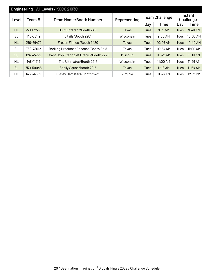| Engineering - All Levels / KCCC 2103C |                                         |                                          |              |             |                       |                      |          |  |  |  |  |
|---------------------------------------|-----------------------------------------|------------------------------------------|--------------|-------------|-----------------------|----------------------|----------|--|--|--|--|
| Level                                 | <b>Team Name/Booth Number</b><br>Team # |                                          | Representing |             | <b>Team Challenge</b> | Instant<br>Challenge |          |  |  |  |  |
|                                       |                                         |                                          |              | Day         | Time                  | Day                  | Time     |  |  |  |  |
| <b>ML</b>                             | 750-02530                               | Built Different/Booth 2415               | Texas        | Tues        | $9:12$ AM             | <b>Tues</b>          | 9:48 AM  |  |  |  |  |
| EL                                    | 148-38119                               | 6 tails/Booth 2201                       | Wisconsin    | Tues        | $9:30$ AM             | Tues                 | 10:06 AM |  |  |  |  |
| <b>ML</b>                             | 750-66472                               | Frozen Fishes / Booth 2420               | <b>Texas</b> | <b>Tues</b> | 10:06 AM              | <b>Tues</b>          | 10:42 AM |  |  |  |  |
| SL                                    | 750-73012                               | Barking Breakfast Bananas/Booth 2218     | Texas        | Tues        | 10:24 AM              | Tues                 | 11:00 AM |  |  |  |  |
| <b>SL</b>                             | 124-45272                               | I Cant Stop Staring At Uranus/Booth 2221 | Missouri     | Tues        | 10:42 AM              | <b>Tues</b>          | 11:18 AM |  |  |  |  |
| ML                                    | 148-11919                               | The Ultimates/Booth 2317                 | Wisconsin    | Tues        | 11:00 AM              | Tues                 | 11:36 AM |  |  |  |  |
| <b>SL</b>                             | 750-50048                               | Shelly Squad/Booth 2215                  | <b>Texas</b> | Tues        | $11:18$ AM            | Tues                 | 11:54 AM |  |  |  |  |
| ML                                    | 145-34552                               | Classy Hamsters/Booth 2323               | Virginia     | Tues        | 11:36 AM              | Tues                 | 12:12 PM |  |  |  |  |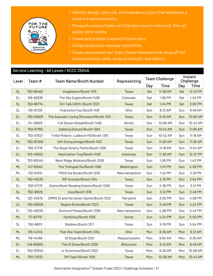

- Identify, design, carry out, and evaluate a project that addresses a need in a real community.
- Research science fiction as it has been used in literature, film, art, and/or other media.
- Create and present a science fiction story.
- Design and build a message transmitter.
- Create and present two Team Choice Elements that show off the team's interests, skills, areas of strength, and talents.

#### Service Learning - All Levels / KCCC 2504A

| Level     | Team#     | <b>Team Name/Booth Number</b>           | Representing    |     | <b>Team Challenge</b> | Instant<br>Challenge |             |
|-----------|-----------|-----------------------------------------|-----------------|-----|-----------------------|----------------------|-------------|
|           |           |                                         |                 | Day | Time                  | Day                  | <b>Time</b> |
| <b>SL</b> | 750-65462 | Imagineers/Booth 1315                   | <b>Texas</b>    | Sat | 11:36 AM              | Sat                  | 12:12 PM    |
| EL.       | 106-69336 | The Sky Eagles/Booth 1406               | Colorado        | Sat | 1:06 PM               | Sat                  | 1:42 PM     |
| <b>SL</b> | 750-89774 | Girl Talk GOHS / Booth 1323             | <b>Texas</b>    | Sat | 1:24 PM               | Sat                  | 2:00 PM     |
| <b>SL</b> | 135-97126 | Fearsome Four/Booth 1418                | Ohio            | Sun | 9:12 AM               | Sun                  | 9:48 AM     |
| <b>EL</b> | 750-63608 | The Avacado Loving DInosaurs/Booth 1301 | <b>Texas</b>    | Sun | 9:30 AM               | Sun                  | 10:06 AM    |
| EL.       | 114-26605 | Full Steam Ahead/Booth 1408             | Illinois        | Sun | 10:06 AM              | Sun                  | 10:42 AM    |
| <b>EL</b> | 750-61769 | Dabbing Donuts/Booth 1304               | <b>Texas</b>    | Sun | 10:24 AM              | Sun                  | 11:00 AM    |
| <b>SL</b> | 750-07521 | Tinfoil Robots Lubbock HS/Booth 1316    | Texas           | Sun | 10:42 AM              | Sun                  | 11:18 AM    |
| ML        | 750-87309 | Gift Giving Amigas/Booth 1103           | <b>Texas</b>    | Sun | 11:00 AM              | Sun                  | 11:36 AM    |
| EL.       | 750-21776 | The Royal Smarty Pants/Booth 1305       | Texas           | Sun | 11:18 AM              | Sun                  | 11:54 AM    |
| <b>EL</b> | 103-40063 | <b>Destination Troy/Booth 1400</b>      | <b>Arkansas</b> | Sun | 11:36 AM              | Sun                  | 12:12 PM    |
| ML        | 750-65545 | West Ridge Wildcats/Booth 1208          | Texas           | Sun | 1:06 PM               | Sun                  | 1:42 PM     |
| ML        | 147-91540 | The Trilingual Six/Booth 1108           | Washington      | Sun | 1:24 PM               | Sun                  | 2:00 PM     |
| ML        | 130-04110 | PASS the Books/Booth 1202               | New Hampshire   | Sun | 1:42 PM               | Sun                  | 2:18 PM     |
| <b>SL</b> | 750-45235 | RIP Scooter/Booth 1314                  | <b>Texas</b>    | Sun | 2:18 PM               | Sun                  | 2:54 PM     |
| EL.       | 750-57175 | SteinerBush Reading Robots/Booth 1300   | Texas           | Sun | 2:36 PM               | Sun                  | 3:12 PM     |
| <b>SL</b> | 750-99126 | moo/Booth 1319                          | <b>Texas</b>    | Sun | 3:12 PM               | Sun                  | 3:48 PM     |
| ML        | 120-33970 | SMMS DI and the Seven Saints/Booth 1203 | Maryland        | Sun | 3:30 PM               | Sun                  | 4:06 PM     |
| UL        | 750-92559 | Seguin Rocks/Booth 1223                 | <b>Texas</b>    | Sun | 3:48 PM               | Sun                  | 4:24 PM     |
| EL.       | 130-48229 | Drumroll Please/Booth 1309              | New Hampshire   | Sun | 4:06 PM               | Sun                  | 4:42 PM     |
| ML        | 171-63710 | Harbilony/Booth 1205                    | Korea           | Sun | 4:24 PM               | Sun                  | 5:00 PM     |
| <b>SL</b> | 750-68011 | Bubbles/Booth 1317                      | Texas           | Sun | 5:18 PM               | Sun                  | 5:54 PM     |
| ML        | 135-42145 | That One Team/Booth 1204                | Ohio            | Mon | 8:36 AM               | Mon                  | 9:12 AM     |
| ML        | 119-14499 | Di Divas/Booth 1201                     | Massachusetts   | Mon | 8:54 AM               | Mon                  | 9:30 AM     |
| EL.       | 148-80900 | The DI Elves/Booth 1209                 | Wisconsin       | Mon | 9:12 AM               | Mon                  | 9:48 AM     |
| EL        | 750-87640 | Jr Scientists/Booth 1303                | Texas           | Mon | 9:30 AM               | Mon                  | 10:06 AM    |
| <b>ML</b> | 750-21532 | Off Topic/Booth 1109                    | <b>Texas</b>    | Mon | 10:06 AM              | Mon                  | 10:42 AM    |